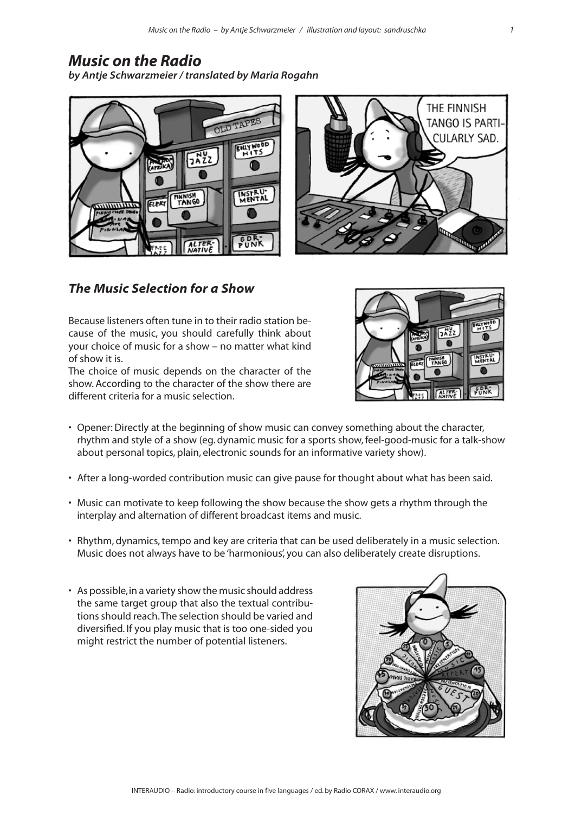## *Music on the Radio*

*by Antje Schwarzmeier / translated by Maria Rogahn*





## *The Music Selection for a Show*

Because listeners often tune in to their radio station because of the music, you should carefully think about your choice of music for a show – no matter what kind of show it is.

The choice of music depends on the character of the show. According to the character of the show there are different criteria for a music selection.



- Opener: Directly at the beginning of show music can convey something about the character, rhythm and style of a show (eg. dynamic music for a sports show, feel-good-music for a talk-show about personal topics, plain, electronic sounds for an informative variety show).
- After a long-worded contribution music can give pause for thought about what has been said.
- Music can motivate to keep following the show because the show gets a rhythm through the interplay and alternation of different broadcast items and music.
- Rhythm, dynamics, tempo and key are criteria that can be used deliberately in a music selection. Music does not always have to be 'harmonious', you can also deliberately create disruptions.
- As possible, in a variety show the music should address the same target group that also the textual contributions should reach. The selection should be varied and diversified. If you play music that is too one-sided you might restrict the number of potential listeners.

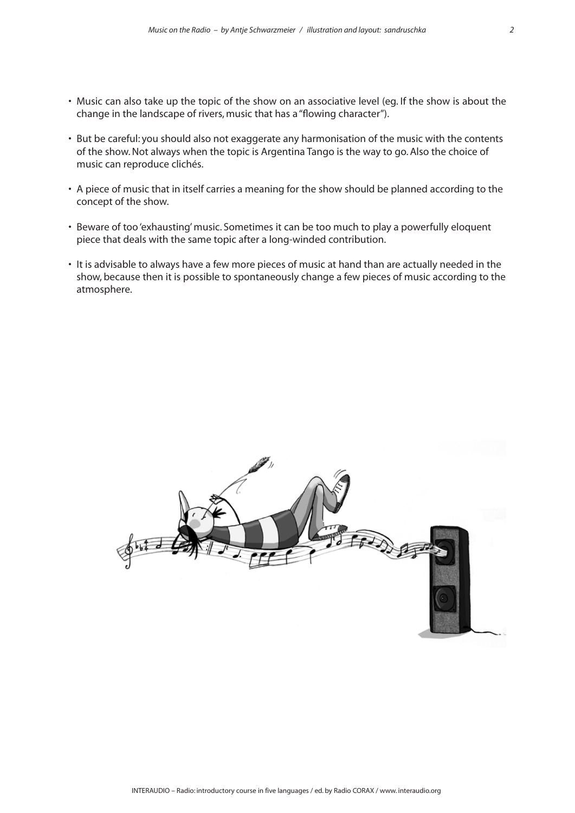- Music can also take up the topic of the show on an associative level (eg. If the show is about the change in the landscape of rivers, music that has a "flowing character").
- But be careful: you should also not exaggerate any harmonisation of the music with the contents of the show. Not always when the topic is Argentina Tango is the way to go. Also the choice of music can reproduce clichés.
- A piece of music that in itself carries a meaning for the show should be planned according to the concept of the show.
- Beware of too 'exhausting' music. Sometimes it can be too much to play a powerfully eloquent piece that deals with the same topic after a long-winded contribution.
- It is advisable to always have a few more pieces of music at hand than are actually needed in the show, because then it is possible to spontaneously change a few pieces of music according to the atmosphere.

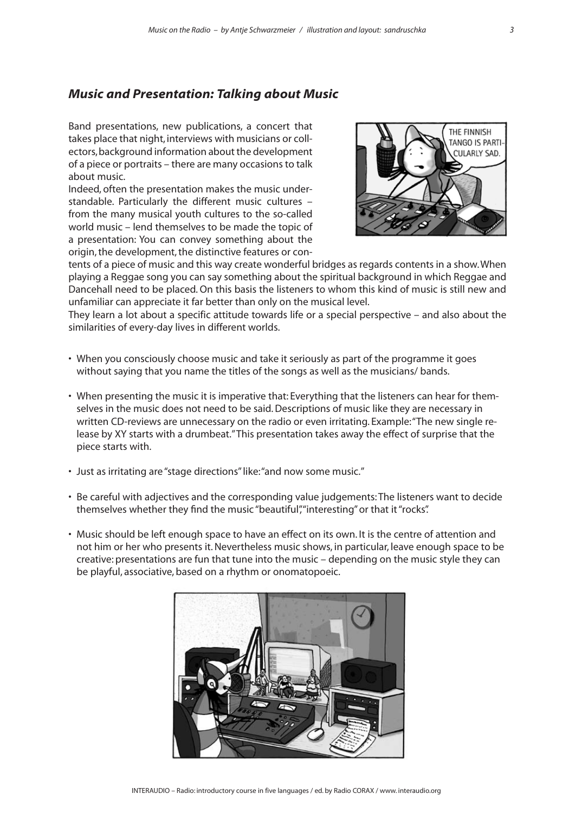## *Music and Presentation: Talking about Music*

Band presentations, new publications, a concert that takes place that night, interviews with musicians or collectors, background information about the development of a piece or portraits – there are many occasions to talk about music.

Indeed, often the presentation makes the music understandable. Particularly the different music cultures – from the many musical youth cultures to the so-called world music – lend themselves to be made the topic of a presentation: You can convey something about the origin, the development, the distinctive features or con-



tents of a piece of music and this way create wonderful bridges as regards contents in a show. When playing a Reggae song you can say something about the spiritual background in which Reggae and Dancehall need to be placed. On this basis the listeners to whom this kind of music is still new and unfamiliar can appreciate it far better than only on the musical level.

They learn a lot about a specific attitude towards life or a special perspective – and also about the similarities of every-day lives in different worlds.

- When you consciously choose music and take it seriously as part of the programme it goes without saying that you name the titles of the songs as well as the musicians/ bands.
- When presenting the music it is imperative that: Everything that the listeners can hear for themselves in the music does not need to be said. Descriptions of music like they are necessary in written CD-reviews are unnecessary on the radio or even irritating. Example: "The new single release by XY starts with a drumbeat." This presentation takes away the effect of surprise that the piece starts with.
- Just as irritating are "stage directions" like: "and now some music."
- Be careful with adjectives and the corresponding value judgements: The listeners want to decide themselves whether they find the music "beautiful", "interesting" or that it "rocks".
- Music should be left enough space to have an effect on its own. It is the centre of attention and not him or her who presents it. Nevertheless music shows, in particular, leave enough space to be creative: presentations are fun that tune into the music – depending on the music style they can be playful, associative, based on a rhythm or onomatopoeic.